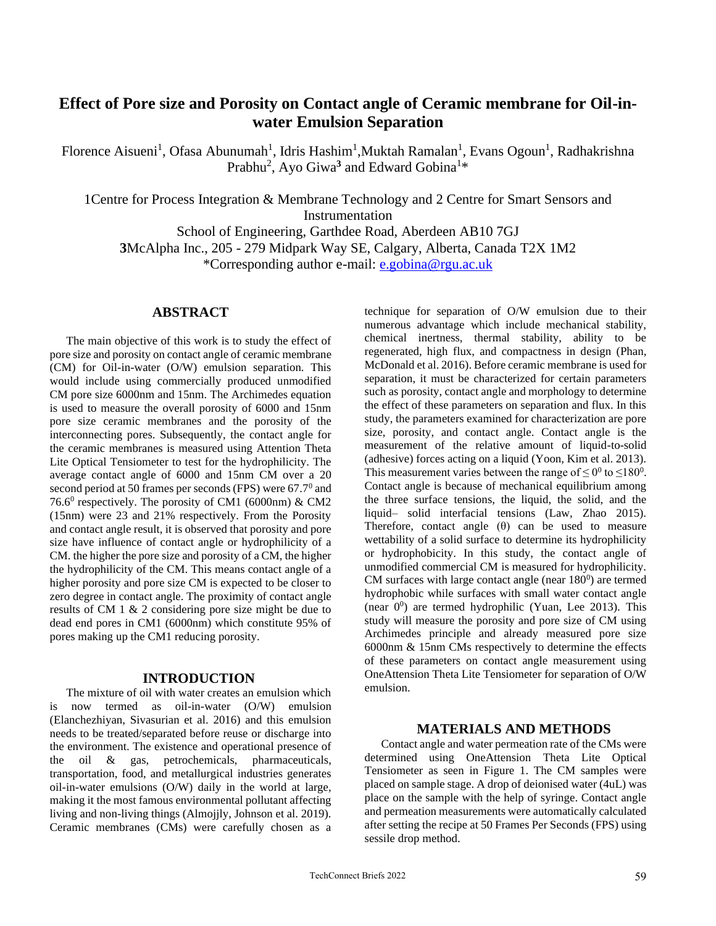# **Effect of Pore size and Porosity on Contact angle of Ceramic membrane for Oil-inwater Emulsion Separation**

Florence Aisueni<sup>1</sup>, Ofasa Abunumah<sup>1</sup>, Idris Hashim<sup>1</sup>, Muktah Ramalan<sup>1</sup>, Evans Ogoun<sup>1</sup>, Radhakrishna Prabhu<sup>2</sup>, Ayo Giwa<sup>3</sup> and Edward Gobina<sup>1</sup>\*

1Centre for Process Integration & Membrane Technology and 2 Centre for Smart Sensors and **Instrumentation** 

School of Engineering, Garthdee Road, Aberdeen AB10 7GJ **3**McAlpha Inc., 205 - 279 Midpark Way SE, Calgary, Alberta, Canada T2X 1M2 \*Corresponding author e-mail: [e.gobina@rgu.ac.uk](mailto:e.gobina@rgu.ac.uk)

## **ABSTRACT**

The main objective of this work is to study the effect of pore size and porosity on contact angle of ceramic membrane (CM) for Oil-in-water (O/W) emulsion separation. This would include using commercially produced unmodified CM pore size 6000nm and 15nm. The Archimedes equation is used to measure the overall porosity of 6000 and 15nm pore size ceramic membranes and the porosity of the interconnecting pores. Subsequently, the contact angle for the ceramic membranes is measured using Attention Theta Lite Optical Tensiometer to test for the hydrophilicity. The average contact angle of 6000 and 15nm CM over a 20 second period at 50 frames per seconds (FPS) were  $67.7^{\circ}$  and 76.6<sup>0</sup> respectively. The porosity of CM1 (6000nm) & CM2 (15nm) were 23 and 21% respectively. From the Porosity and contact angle result, it is observed that porosity and pore size have influence of contact angle or hydrophilicity of a CM. the higher the pore size and porosity of a CM, the higher the hydrophilicity of the CM. This means contact angle of a higher porosity and pore size CM is expected to be closer to zero degree in contact angle. The proximity of contact angle results of CM 1 & 2 considering pore size might be due to dead end pores in CM1 (6000nm) which constitute 95% of pores making up the CM1 reducing porosity.

### **INTRODUCTION**

The mixture of oil with water creates an emulsion which is now termed as oil-in-water (O/W) emulsion (Elanchezhiyan, Sivasurian et al. 2016) and this emulsion needs to be treated/separated before reuse or discharge into the environment. The existence and operational presence of the oil & gas, petrochemicals, pharmaceuticals, transportation, food, and metallurgical industries generates oil-in-water emulsions (O/W) daily in the world at large, making it the most famous environmental pollutant affecting living and non-living things (Almojjly, Johnson et al. 2019). Ceramic membranes (CMs) were carefully chosen as a technique for separation of O/W emulsion due to their numerous advantage which include mechanical stability, chemical inertness, thermal stability, ability to be regenerated, high flux, and compactness in design (Phan, McDonald et al. 2016). Before ceramic membrane is used for separation, it must be characterized for certain parameters such as porosity, contact angle and morphology to determine the effect of these parameters on separation and flux. In this study, the parameters examined for characterization are pore size, porosity, and contact angle. Contact angle is the measurement of the relative amount of liquid-to-solid (adhesive) forces acting on a liquid (Yoon, Kim et al. 2013). This measurement varies between the range of  $\leq 0^0$  to  $\leq 180^0$ . Contact angle is because of mechanical equilibrium among the three surface tensions, the liquid, the solid, and the liquid– solid interfacial tensions (Law, Zhao 2015). Therefore, contact angle  $(\theta)$  can be used to measure wettability of a solid surface to determine its hydrophilicity or hydrophobicity. In this study, the contact angle of unmodified commercial CM is measured for hydrophilicity. CM surfaces with large contact angle (near  $180<sup>0</sup>$ ) are termed hydrophobic while surfaces with small water contact angle (near  $0^0$ ) are termed hydrophilic (Yuan, Lee 2013). This study will measure the porosity and pore size of CM using Archimedes principle and already measured pore size 6000nm & 15nm CMs respectively to determine the effects of these parameters on contact angle measurement using OneAttension Theta Lite Tensiometer for separation of O/W emulsion.

## **MATERIALS AND METHODS**

Contact angle and water permeation rate of the CMs were determined using OneAttension Theta Lite Optical Tensiometer as seen in Figure 1. The CM samples were placed on sample stage. A drop of deionised water (4uL) was place on the sample with the help of syringe. Contact angle and permeation measurements were automatically calculated after setting the recipe at 50 Frames Per Seconds (FPS) using sessile drop method.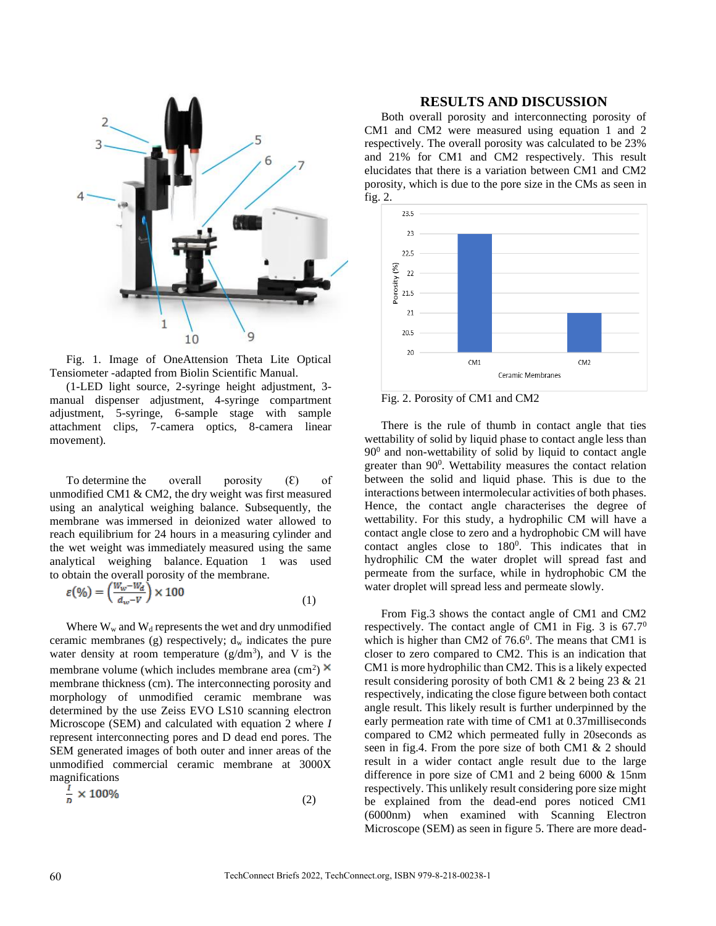

Fig. 1. Image of OneAttension Theta Lite Optical Tensiometer -adapted from Biolin Scientific Manual.

(1-LED light source, 2-syringe height adjustment, 3 manual dispenser adjustment, 4-syringe compartment adjustment, 5-syringe, 6-sample stage with sample attachment clips, 7-camera optics, 8-camera linear movement).

To determine the overall porosity  $(\varepsilon)$  of unmodified CM1 & CM2, the dry weight was first measured using an analytical weighing balance. Subsequently, the membrane was immersed in deionized water allowed to reach equilibrium for 24 hours in a measuring cylinder and the wet weight was immediately measured using the same analytical weighing balance. Equation 1 was used to obtain the overall porosity of the membrane.

$$
\varepsilon(\%) = \left(\frac{W_w - W_d}{d_w - V}\right) \times 100\tag{1}
$$

Where  $W_w$  and  $W_d$  represents the wet and dry unmodified ceramic membranes (g) respectively;  $d_w$  indicates the pure water density at room temperature  $(g/dm<sup>3</sup>)$ , and V is the membrane volume (which includes membrane area  $\text{(cm}^2\text{)}$ membrane thickness (cm). The interconnecting porosity and morphology of unmodified ceramic membrane was determined by the use Zeiss EVO LS10 scanning electron Microscope (SEM) and calculated with equation 2 where *I* represent interconnecting pores and D dead end pores. The SEM generated images of both outer and inner areas of the unmodified commercial ceramic membrane at 3000X magnifications

$$
\frac{1}{n} \times 100\% \tag{2}
$$

#### **RESULTS AND DISCUSSION**

Both overall porosity and interconnecting porosity of CM1 and CM2 were measured using equation 1 and 2 respectively. The overall porosity was calculated to be 23% and 21% for CM1 and CM2 respectively. This result elucidates that there is a variation between CM1 and CM2 porosity, which is due to the pore size in the CMs as seen in fig. 2.



Fig. 2. Porosity of CM1 and CM2

There is the rule of thumb in contact angle that ties wettability of solid by liquid phase to contact angle less than  $90<sup>0</sup>$  and non-wettability of solid by liquid to contact angle greater than  $90^\circ$ . Wettability measures the contact relation between the solid and liquid phase. This is due to the interactions between intermolecular activities of both phases. Hence, the contact angle characterises the degree of wettability. For this study, a hydrophilic CM will have a contact angle close to zero and a hydrophobic CM will have contact angles close to  $180^\circ$ . This indicates that in hydrophilic CM the water droplet will spread fast and permeate from the surface, while in hydrophobic CM the water droplet will spread less and permeate slowly.

From Fig.3 shows the contact angle of CM1 and CM2 respectively. The contact angle of CM1 in Fig. 3 is  $67.7^\circ$ which is higher than CM2 of  $76.6<sup>0</sup>$ . The means that CM1 is closer to zero compared to CM2. This is an indication that CM1 is more hydrophilic than CM2. This is a likely expected result considering porosity of both CM1 & 2 being 23 & 21 respectively, indicating the close figure between both contact angle result. This likely result is further underpinned by the early permeation rate with time of CM1 at 0.37milliseconds compared to CM2 which permeated fully in 20seconds as seen in fig.4. From the pore size of both CM1 & 2 should result in a wider contact angle result due to the large difference in pore size of CM1 and 2 being 6000 & 15nm respectively. This unlikely result considering pore size might be explained from the dead-end pores noticed CM1 (6000nm) when examined with Scanning Electron Microscope (SEM) as seen in figure 5. There are more dead-

a dia dia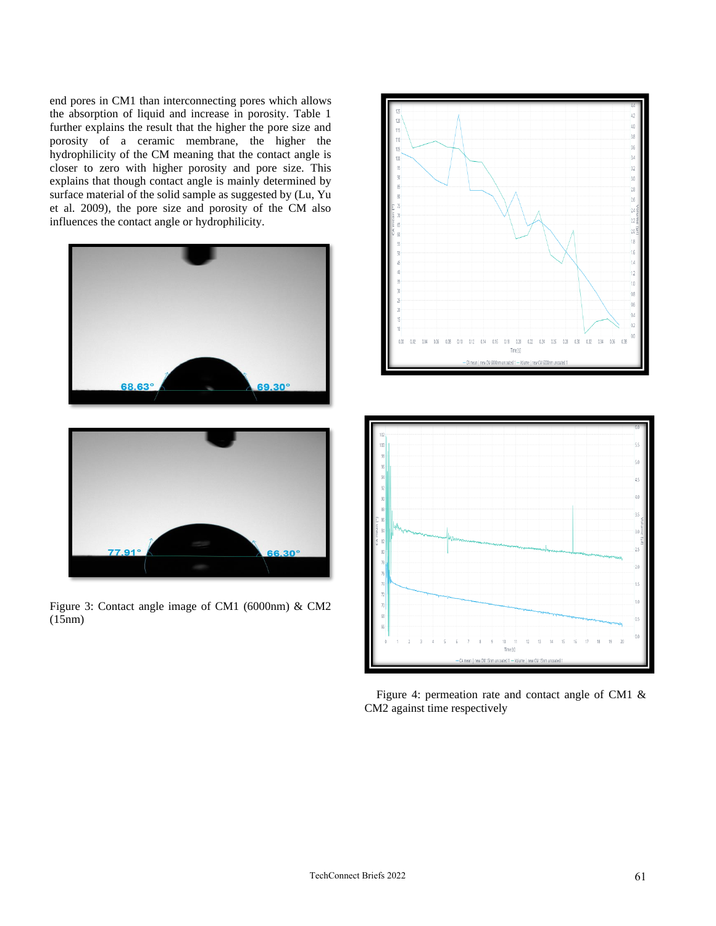end pores in CM1 than interconnecting pores which allows the absorption of liquid and increase in porosity. Table 1 further explains the result that the higher the pore size and porosity of a ceramic membrane, the higher the hydrophilicity of the CM meaning that the contact angle is closer to zero with higher porosity and pore size. This explains that though contact angle is mainly determined by surface material of the solid sample as suggested by (Lu, Yu et al. 2009), the pore size and porosity of the CM also influences the contact angle or hydrophilicity.





Figure 3: Contact angle image of CM1 (6000nm) & CM2 (15nm)



 Figure 4: permeation rate and contact angle of CM1 & CM2 against time respectively